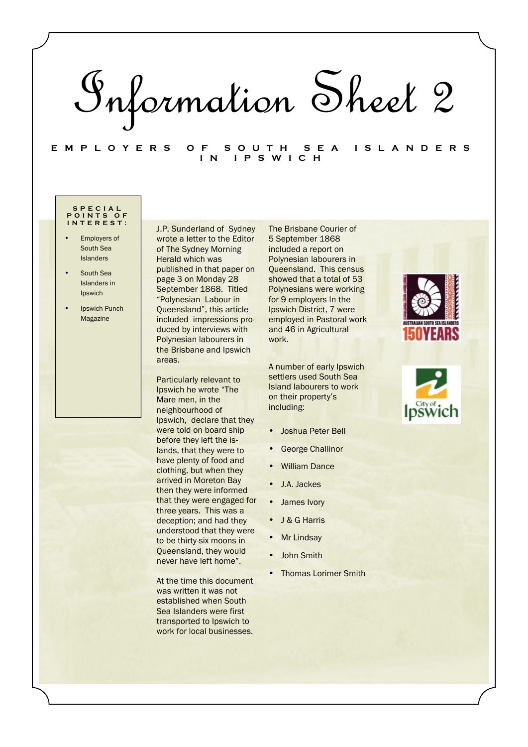# Information Sheet 2

**E M P L O Y E R S O F S O U T H S E A I S L A N D E R S I N I P S W I C H** 

### **S P E C I A L P O I N T S O F I N T E R E S T :**

- **Employers of** South Sea Islanders
- South Sea Islanders in Ipswich
- **Ipswich Punch** Magazine

J.P. Sunderland of Sydney wrote a letter to the Editor of The Sydney Morning Herald which was published in that paper on page 3 on Monday 28 September 1868. Titled "Polynesian Labour in Queensland", this article included impressions produced by interviews with Polynesian labourers in the Brisbane and Ipswich areas.

Particularly relevant to Ipswich he wrote "The Mare men, in the neighbourhood of Ipswich, declare that they were told on board ship before they left the islands, that they were to have plenty of food and clothing, but when they arrived in Moreton Bay then they were informed that they were engaged for three years. This was a deception; and had they understood that they were to be thirty-six moons in Queensland, they would never have left home".

At the time this document was written it was not established when South Sea Islanders were first transported to Ipswich to work for local businesses.

The Brisbane Courier of 5 September 1868 included a report on Polynesian labourers in Queensland. This census showed that a total of 53 Polynesians were working for 9 employers In the Ipswich District, 7 were employed in Pastoral work and 46 in Agricultural work.

A number of early Ipswich settlers used South Sea Island labourers to work on their property's including:

- Joshua Peter Bell
- George Challinor
- William Dance
- J.A. Jackes
- James Ivory
- J & G Harris
- Mr Lindsay
- John Smith
- Thomas Lorimer Smith



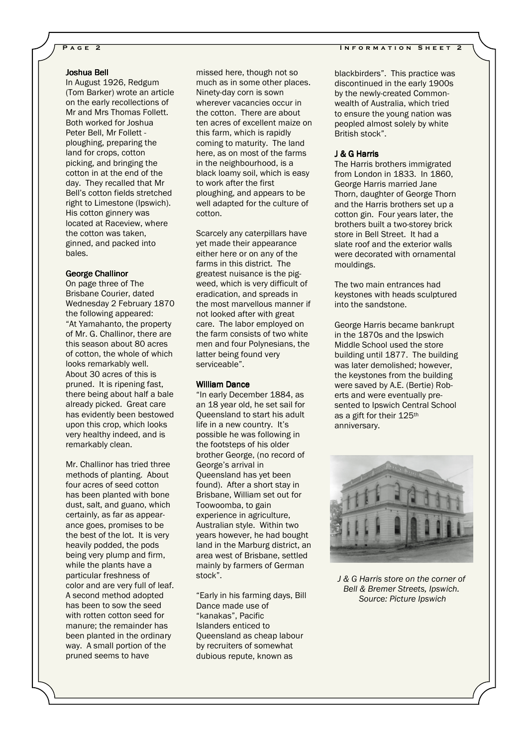## Joshua Bell Joshua Bell

In August 1926, Redgum (Tom Barker) wrote an article on the early recollections of Mr and Mrs Thomas Follett. Both worked for Joshua Peter Bell, Mr Follett ploughing, preparing the land for crops, cotton picking, and bringing the cotton in at the end of the day. They recalled that Mr Bell's cotton fields stretched right to Limestone (Ipswich). His cotton ginnery was located at Raceview, where the cotton was taken, ginned, and packed into bales.

### George Challinor

On page three of The Brisbane Courier, dated Wednesday 2 February 1870 the following appeared: "At Yamahanto, the property of Mr. G. Challinor, there are this season about 80 acres of cotton, the whole of which looks remarkably well. About 30 acres of this is pruned. It is ripening fast, there being about half a bale already picked. Great care has evidently been bestowed upon this crop, which looks very healthy indeed, and is remarkably clean.

Mr. Challinor has tried three methods of planting. About four acres of seed cotton has been planted with bone dust, salt, and guano, which certainly, as far as appearance goes, promises to be the best of the lot. It is very heavily podded, the pods being very plump and firm, while the plants have a particular freshness of color and are very full of leaf. A second method adopted has been to sow the seed with rotten cotton seed for manure; the remainder has been planted in the ordinary way. A small portion of the pruned seems to have

missed here, though not so much as in some other places. Ninety-day corn is sown wherever vacancies occur in the cotton. There are about ten acres of excellent maize on this farm, which is rapidly coming to maturity. The land here, as on most of the farms in the neighbourhood, is a black loamy soil, which is easy to work after the first ploughing, and appears to be well adapted for the culture of cotton.

Scarcely any caterpillars have yet made their appearance either here or on any of the farms in this district. The greatest nuisance is the pigweed, which is very difficult of eradication, and spreads in the most marvellous manner if not looked after with great care. The labor employed on the farm consists of two white men and four Polynesians, the latter being found very serviceable".

# William Dance

"In early December 1884, as an 18 year old, he set sail for Queensland to start his adult life in a new country. It's possible he was following in the footsteps of his older brother George, (no record of George's arrival in Queensland has yet been found). After a short stay in Brisbane, William set out for Toowoomba, to gain experience in agriculture, Australian style. Within two years however, he had bought land in the Marburg district, an area west of Brisbane, settled mainly by farmers of German stock".

"Early in his farming days, Bill Dance made use of "kanakas", Pacific Islanders enticed to Queensland as cheap labour by recruiters of somewhat dubious repute, known as

blackbirders". This practice was discontinued in the early 1900s by the newly-created Commonwealth of Australia, which tried to ensure the young nation was peopled almost solely by white British stock".

### J & G Harris J

The Harris brothers immigrated from London in 1833. In 1860, George Harris married Jane Thorn, daughter of George Thorn and the Harris brothers set up a cotton gin. Four years later, the brothers built a two-storey brick store in Bell Street. It had a slate roof and the exterior walls were decorated with ornamental mouldings.

The two main entrances had keystones with heads sculptured into the sandstone.

George Harris became bankrupt in the 1870s and the Ipswich Middle School used the store building until 1877. The building was later demolished; however, the keystones from the building were saved by A.E. (Bertie) Roberts and were eventually presented to Ipswich Central School as a gift for their 125th anniversary.



*J & G Harris store on the corner of Bell & Bremer Streets, Ipswich. Source: Picture Ipswich* 

### **PAGE 2** INFORMATION SHEET 2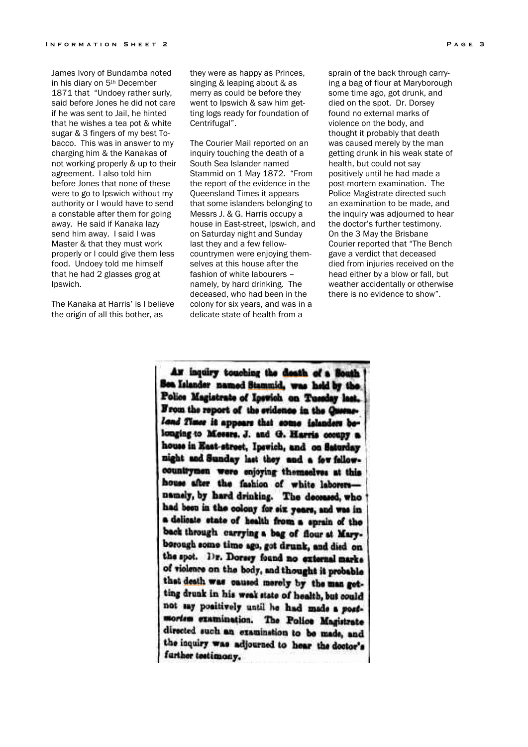James Ivory of Bundamba noted in his diary on 5th December 1871 that "Undoey rather surly, said before Jones he did not care if he was sent to Jail, he hinted that he wishes a tea pot & white sugar & 3 fingers of my best Tobacco. This was in answer to my charging him & the Kanakas of not working properly & up to their agreement. I also told him before Jones that none of these were to go to Ipswich without my authority or I would have to send a constable after them for going away. He said if Kanaka lazy send him away. I said I was Master & that they must work properly or I could give them less food. Undoey told me himself that he had 2 glasses grog at Ipswich.

The Kanaka at Harris' is I believe the origin of all this bother, as

they were as happy as Princes, singing & leaping about & as merry as could be before they went to Ipswich & saw him getting logs ready for foundation of Centrifugal".

The Courier Mail reported on an inquiry touching the death of a South Sea Islander named Stammid on 1 May 1872. "From the report of the evidence in the Queensland Times it appears that some islanders belonging to Messrs J. & G. Harris occupy a house in East-street, Ipswich, and on Saturday night and Sunday last they and a few fellowcountrymen were enjoying themselves at this house after the fashion of white labourers – namely, by hard drinking. The deceased, who had been in the colony for six years, and was in a delicate state of health from a

sprain of the back through carrying a bag of flour at Maryborough some time ago, got drunk, and died on the spot. Dr. Dorsey found no external marks of violence on the body, and thought it probably that death was caused merely by the man getting drunk in his weak state of health, but could not say positively until he had made a post-mortem examination. The Police Magistrate directed such an examination to be made, and the inquiry was adjourned to hear the doctor's further testimony. On the 3 May the Brisbane Courier reported that "The Bench gave a verdict that deceased died from injuries received on the head either by a blow or fall, but weather accidentally or otherwise there is no evidence to show".

As inquiry touching the death of a Bouth See Islander named Stammid, was held by the Police Magistrate of Ipswich on Tuesday last. From the report of the cridence in the Queensland Times it appears that some islanders belonging to Messrs. J. and G. Harris cooupy a house in East-street, Ipswich, and on Saturday night and Sunday last they and a few fellowcountrymen were enjoying themselves at this house after the fashion of white laborersnamely, by hard drinking. The deceased, who had been in the colony for six years, and was in a delicate state of health from a sprain of the back through carrying a bag of flour at Maryborough some time ago, got drunk, and died on the spot. Dr. Dorsey found no external marke of violence on the body, and thought it probable that death was caused merely by the man getting drunk in his weak state of health, but could not say positively until he had made a postmortem examination. The Police Magistrate directed such an examination to be made, and the inquiry was adjourned to hear the doctor's further testimony.